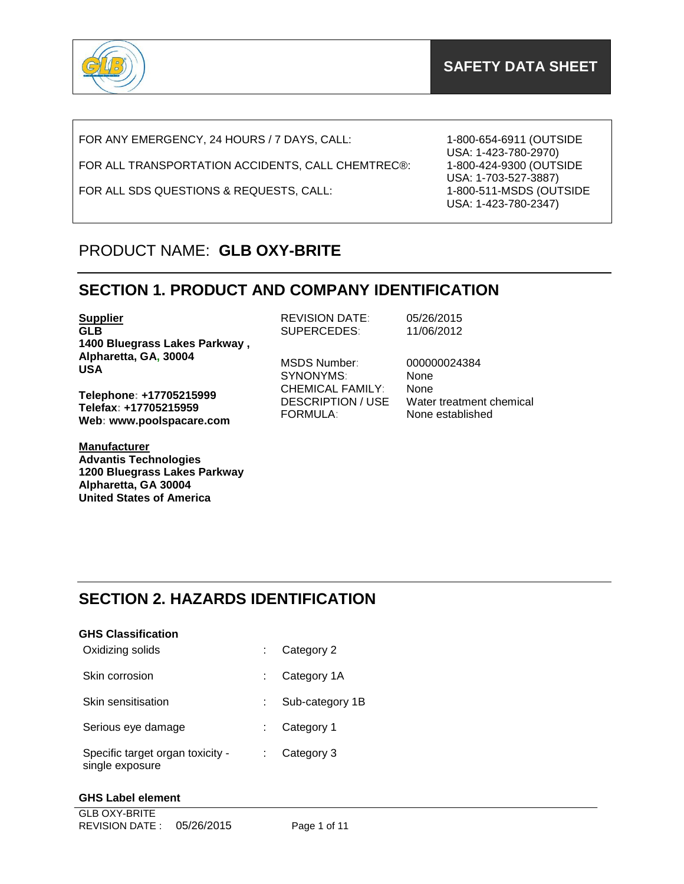

FOR ANY EMERGENCY, 24 HOURS / 7 DAYS, CALL:

FOR ALL TRANSPORTATION ACCIDENTS, CALL CHEMTREC®:

FOR ALL SDS QUESTIONS & REQUESTS, CALL:

1-800-654-6911 (OUTSIDE USA: 1-423-780-2970) 1-800-424-9300 (OUTSIDE USA: 1-703-527-3887) 1-800-511-MSDS (OUTSIDE USA: 1-423-780-2347)

## PRODUCT NAME: **GLB OXY-BRITE**

## **SECTION 1. PRODUCT AND COMPANY IDENTIFICATION**

**Supplier GLB 1400 Bluegrass Lakes Parkway , Alpharetta, GA, 30004 USA**

**Telephone: +17705215999 Telefax: +17705215959 Web: www.poolspacare.com**

**Manufacturer Advantis Technologies 1200 Bluegrass Lakes Parkway Alpharetta, GA 30004 United States of America**

REVISION DATE: 05/26/2015<br>SUPERCEDES: 11/06/2012 SUPERCEDES:

MSDS Number: 000000024384 SYNONYMS: None CHEMICAL FAMILY: None FORMULA: None established

DESCRIPTION / USE Water treatment chemical

## **SECTION 2. HAZARDS IDENTIFICATION**

| <b>GHS Classification</b>                           |                 |
|-----------------------------------------------------|-----------------|
| Oxidizing solids                                    | Category 2      |
| Skin corrosion                                      | Category 1A     |
| Skin sensitisation                                  | Sub-category 1B |
| Serious eye damage                                  | Category 1      |
| Specific target organ toxicity -<br>single exposure | Category 3      |

### **GHS Label element**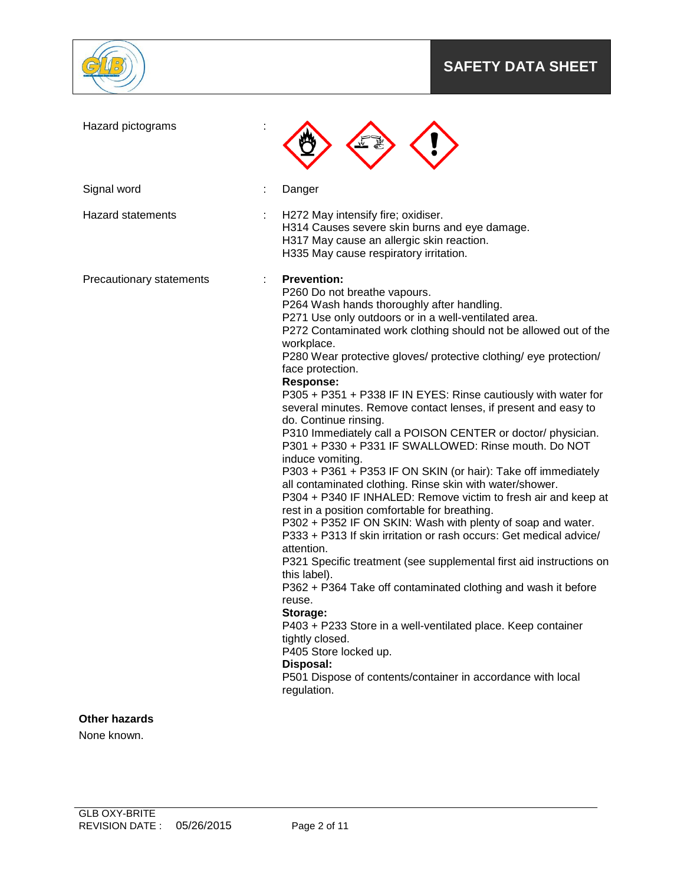

# **SAFETY DATA SHEET**

| Hazard pictograms                   |                                                                                                                                                                                                                                                                                                                                                                                                                                                                                                                                                                                                                                                                                                                                                                                                                                                                                                                                                                                                                                                                                                                                                                                                                                                                                                                                                                                                                                                         |
|-------------------------------------|---------------------------------------------------------------------------------------------------------------------------------------------------------------------------------------------------------------------------------------------------------------------------------------------------------------------------------------------------------------------------------------------------------------------------------------------------------------------------------------------------------------------------------------------------------------------------------------------------------------------------------------------------------------------------------------------------------------------------------------------------------------------------------------------------------------------------------------------------------------------------------------------------------------------------------------------------------------------------------------------------------------------------------------------------------------------------------------------------------------------------------------------------------------------------------------------------------------------------------------------------------------------------------------------------------------------------------------------------------------------------------------------------------------------------------------------------------|
| Signal word                         | Danger                                                                                                                                                                                                                                                                                                                                                                                                                                                                                                                                                                                                                                                                                                                                                                                                                                                                                                                                                                                                                                                                                                                                                                                                                                                                                                                                                                                                                                                  |
| <b>Hazard statements</b>            | H272 May intensify fire; oxidiser.<br>H314 Causes severe skin burns and eye damage.<br>H317 May cause an allergic skin reaction.<br>H335 May cause respiratory irritation.                                                                                                                                                                                                                                                                                                                                                                                                                                                                                                                                                                                                                                                                                                                                                                                                                                                                                                                                                                                                                                                                                                                                                                                                                                                                              |
| Precautionary statements            | <b>Prevention:</b><br>P260 Do not breathe vapours.<br>P264 Wash hands thoroughly after handling.<br>P271 Use only outdoors or in a well-ventilated area.<br>P272 Contaminated work clothing should not be allowed out of the<br>workplace.<br>P280 Wear protective gloves/ protective clothing/ eye protection/<br>face protection.<br><b>Response:</b><br>P305 + P351 + P338 IF IN EYES: Rinse cautiously with water for<br>several minutes. Remove contact lenses, if present and easy to<br>do. Continue rinsing.<br>P310 Immediately call a POISON CENTER or doctor/ physician.<br>P301 + P330 + P331 IF SWALLOWED: Rinse mouth. Do NOT<br>induce vomiting.<br>P303 + P361 + P353 IF ON SKIN (or hair): Take off immediately<br>all contaminated clothing. Rinse skin with water/shower.<br>P304 + P340 IF INHALED: Remove victim to fresh air and keep at<br>rest in a position comfortable for breathing.<br>P302 + P352 IF ON SKIN: Wash with plenty of soap and water.<br>P333 + P313 If skin irritation or rash occurs: Get medical advice/<br>attention.<br>P321 Specific treatment (see supplemental first aid instructions on<br>this label).<br>P362 + P364 Take off contaminated clothing and wash it before<br>reuse.<br>Storage:<br>P403 + P233 Store in a well-ventilated place. Keep container<br>tightly closed.<br>P405 Store locked up.<br>Disposal:<br>P501 Dispose of contents/container in accordance with local<br>regulation. |
| <b>Other hazards</b><br>None known. |                                                                                                                                                                                                                                                                                                                                                                                                                                                                                                                                                                                                                                                                                                                                                                                                                                                                                                                                                                                                                                                                                                                                                                                                                                                                                                                                                                                                                                                         |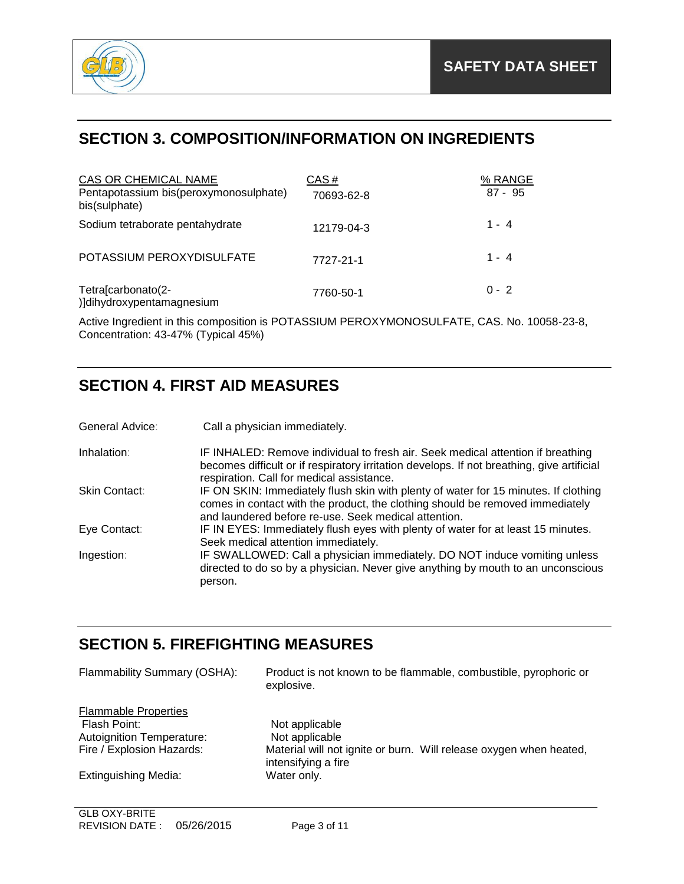

## **SECTION 3. COMPOSITION/INFORMATION ON INGREDIENTS**

| CAS OR CHEMICAL NAME<br>Pentapotassium bis(peroxymonosulphate)<br>bis(sulphate) | CAS#<br>70693-62-8 | % RANGE<br>$87 - 95$ |
|---------------------------------------------------------------------------------|--------------------|----------------------|
| Sodium tetraborate pentahydrate                                                 | 12179-04-3         | $1 - 4$              |
| POTASSIUM PEROXYDISULFATE                                                       | 7727-21-1          | $1 - 4$              |
| Tetra[carbonato(2-<br>)]dihydroxypentamagnesium                                 | 7760-50-1          | $0 - 2$              |

Active Ingredient in this composition is POTASSIUM PEROXYMONOSULFATE, CAS. No. 10058-23-8, Concentration: 43-47% (Typical 45%)

# **SECTION 4. FIRST AID MEASURES**

General Advice: Call a physician immediately.

Inhalation: IF INHALED: Remove individual to fresh air. Seek medical attention if breathing becomes difficult or if respiratory irritation develops. If not breathing, give artificial respiration. Call for medical assistance. Skin Contact: IF ON SKIN: Immediately flush skin with plenty of water for 15 minutes. If clothing comes in contact with the product, the clothing should be removed immediately and laundered before re-use. Seek medical attention. Eye Contact: IF IN EYES: Immediately flush eyes with plenty of water for at least 15 minutes. Seek medical attention immediately. Ingestion: IF SWALLOWED: Call a physician immediately. DO NOT induce vomiting unless directed to do so by a physician. Never give anything by mouth to an unconscious person.

## **SECTION 5. FIREFIGHTING MEASURES**

| Flammability Summary (OSHA):     | Product is not known to be flammable, combustible, pyrophoric or<br>explosive.            |
|----------------------------------|-------------------------------------------------------------------------------------------|
| <b>Flammable Properties</b>      |                                                                                           |
| Flash Point:                     | Not applicable                                                                            |
| <b>Autoignition Temperature:</b> | Not applicable                                                                            |
| Fire / Explosion Hazards:        | Material will not ignite or burn. Will release oxygen when heated,<br>intensifying a fire |
| Extinguishing Media:             | Water only.                                                                               |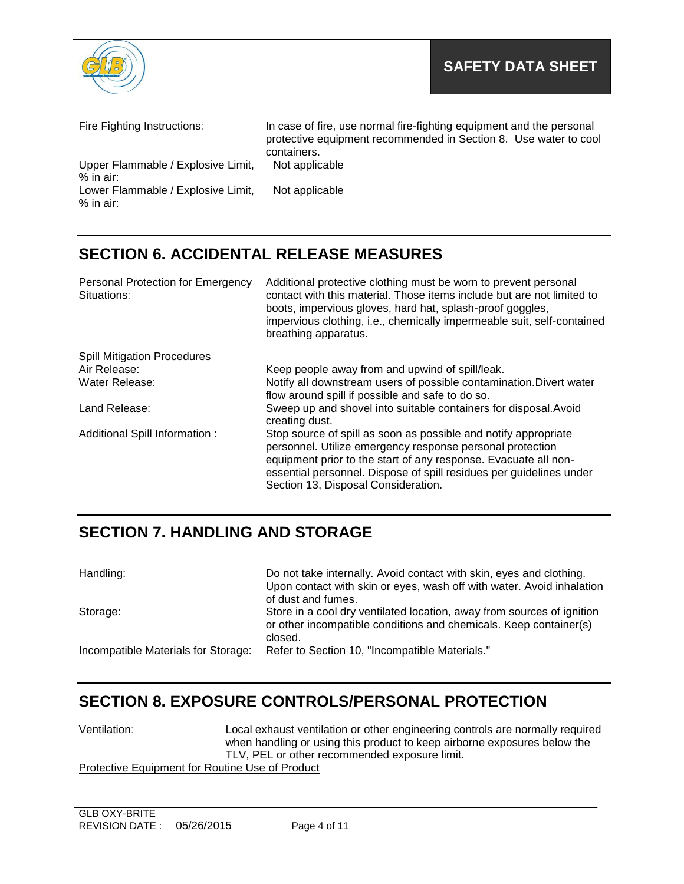

| Fire Fighting Instructions:                       | In case of fire, use normal fire-fighting equipment and the personal<br>protective equipment recommended in Section 8. Use water to cool<br>containers. |
|---------------------------------------------------|---------------------------------------------------------------------------------------------------------------------------------------------------------|
| Upper Flammable / Explosive Limit,<br>$%$ in air: | Not applicable                                                                                                                                          |
| Lower Flammable / Explosive Limit,<br>$%$ in air: | Not applicable                                                                                                                                          |

# **SECTION 6. ACCIDENTAL RELEASE MEASURES**

| <b>Personal Protection for Emergency</b><br>Situations: | Additional protective clothing must be worn to prevent personal<br>contact with this material. Those items include but are not limited to<br>boots, impervious gloves, hard hat, splash-proof goggles,<br>impervious clothing, i.e., chemically impermeable suit, self-contained<br>breathing apparatus.      |
|---------------------------------------------------------|---------------------------------------------------------------------------------------------------------------------------------------------------------------------------------------------------------------------------------------------------------------------------------------------------------------|
| <b>Spill Mitigation Procedures</b>                      |                                                                                                                                                                                                                                                                                                               |
| Air Release:                                            | Keep people away from and upwind of spill/leak.                                                                                                                                                                                                                                                               |
| Water Release:                                          | Notify all downstream users of possible contamination. Divert water<br>flow around spill if possible and safe to do so.                                                                                                                                                                                       |
| Land Release:                                           | Sweep up and shovel into suitable containers for disposal. Avoid<br>creating dust.                                                                                                                                                                                                                            |
| Additional Spill Information:                           | Stop source of spill as soon as possible and notify appropriate<br>personnel. Utilize emergency response personal protection<br>equipment prior to the start of any response. Evacuate all non-<br>essential personnel. Dispose of spill residues per guidelines under<br>Section 13, Disposal Consideration. |

# **SECTION 7. HANDLING AND STORAGE**

| Handling:                           | Do not take internally. Avoid contact with skin, eyes and clothing.<br>Upon contact with skin or eyes, wash off with water. Avoid inhalation<br>of dust and fumes. |
|-------------------------------------|--------------------------------------------------------------------------------------------------------------------------------------------------------------------|
| Storage:                            | Store in a cool dry ventilated location, away from sources of ignition<br>or other incompatible conditions and chemicals. Keep container(s)<br>closed.             |
| Incompatible Materials for Storage: | Refer to Section 10, "Incompatible Materials."                                                                                                                     |

## **SECTION 8. EXPOSURE CONTROLS/PERSONAL PROTECTION**

| Ventilation:                                    | Local exhaust ventilation or other engineering controls are normally required |
|-------------------------------------------------|-------------------------------------------------------------------------------|
|                                                 | when handling or using this product to keep airborne exposures below the      |
|                                                 | TLV, PEL or other recommended exposure limit.                                 |
| Protective Equipment for Routine Use of Product |                                                                               |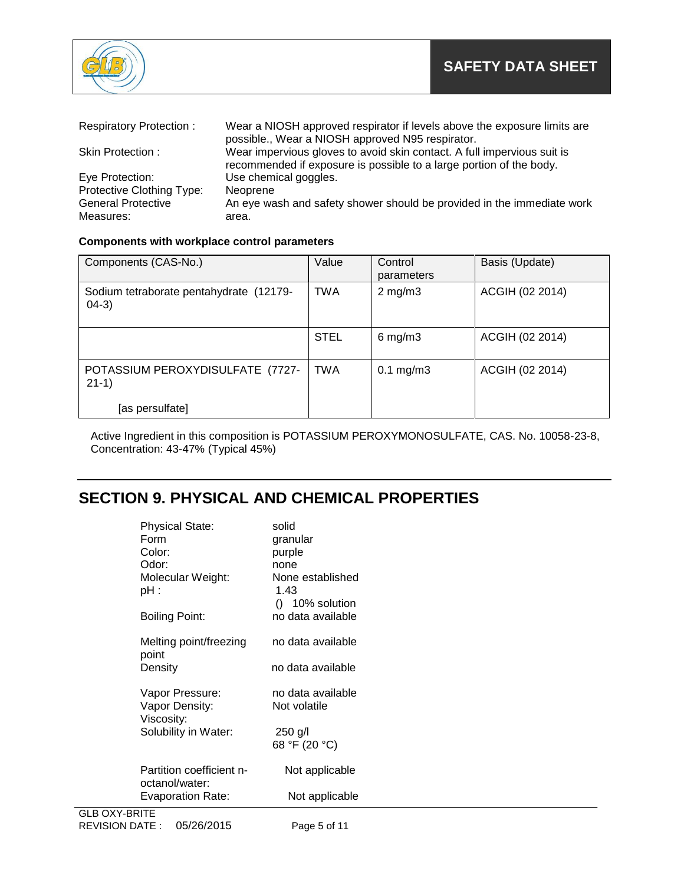

| <b>Respiratory Protection:</b>         | Wear a NIOSH approved respirator if levels above the exposure limits are<br>possible., Wear a NIOSH approved N95 respirator.                   |
|----------------------------------------|------------------------------------------------------------------------------------------------------------------------------------------------|
| Skin Protection:                       | Wear impervious gloves to avoid skin contact. A full impervious suit is<br>recommended if exposure is possible to a large portion of the body. |
| Eye Protection:                        | Use chemical goggles.                                                                                                                          |
| Protective Clothing Type:              | Neoprene                                                                                                                                       |
| <b>General Protective</b><br>Measures: | An eye wash and safety shower should be provided in the immediate work<br>area.                                                                |

### **Components with workplace control parameters**

| Components (CAS-No.)                                | Value       | Control<br>parameters | Basis (Update)  |
|-----------------------------------------------------|-------------|-----------------------|-----------------|
| Sodium tetraborate pentahydrate (12179-<br>$(04-3)$ | <b>TWA</b>  | $2 \text{ mg/m}$ 3    | ACGIH (02 2014) |
|                                                     | <b>STEL</b> | $6$ mg/m $3$          | ACGIH (02 2014) |
| POTASSIUM PEROXYDISULFATE (7727-<br>$21-1)$         | TWA         | $0.1$ mg/m $3$        | ACGIH (02 2014) |
| [as persulfate]                                     |             |                       |                 |

Active Ingredient in this composition is POTASSIUM PEROXYMONOSULFATE, CAS. No. 10058-23-8, Concentration: 43-47% (Typical 45%)

# **SECTION 9. PHYSICAL AND CHEMICAL PROPERTIES**

| <b>Physical State:</b><br>Form  | solid<br>granular        |
|---------------------------------|--------------------------|
| Color:                          | purple                   |
| Odor:                           | none                     |
| Molecular Weight:<br>pH :       | None established<br>1.43 |
|                                 | $()$ 10% solution        |
| Boiling Point:                  | no data available        |
|                                 |                          |
| Melting point/freezing<br>point | no data available        |
| Density                         | no data available        |
|                                 |                          |
| Vapor Pressure:                 | no data available        |
| Vapor Density:<br>Viscosity:    | Not volatile             |
| Solubility in Water:            | 250 g/l                  |
|                                 | 68 °F (20 °C)            |
|                                 |                          |
| Partition coefficient n-        | Not applicable           |
| octanol/water:                  |                          |
| Evaporation Rate:               | Not applicable           |
| V DDITE                         |                          |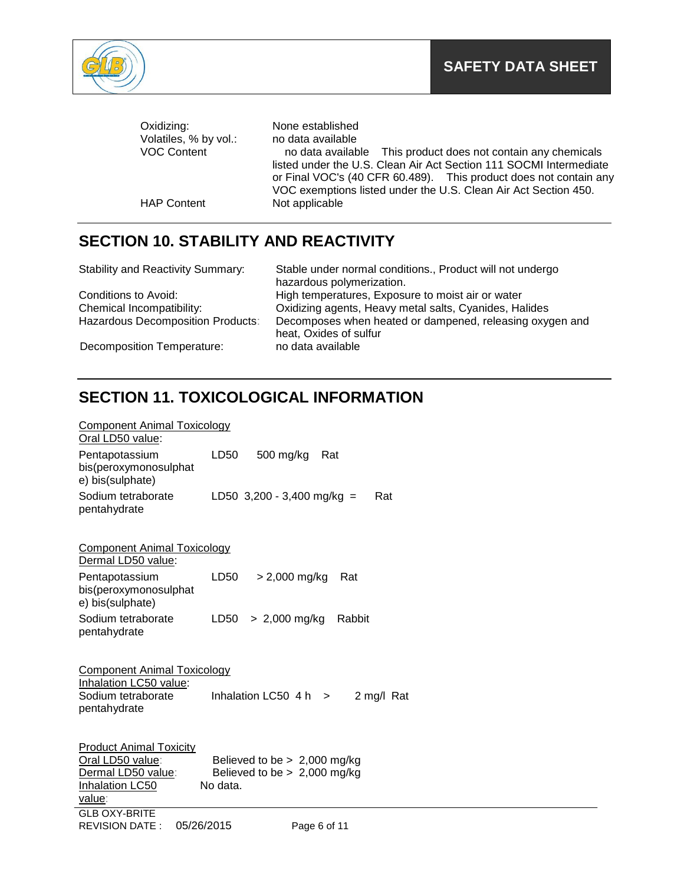

| Oxidizing:<br>Volatiles, % by vol.: | None established<br>no data available                                                                                                                                                                      |
|-------------------------------------|------------------------------------------------------------------------------------------------------------------------------------------------------------------------------------------------------------|
| <b>VOC Content</b>                  | no data available This product does not contain any chemicals                                                                                                                                              |
|                                     | listed under the U.S. Clean Air Act Section 111 SOCMI Intermediate<br>or Final VOC's (40 CFR 60.489). This product does not contain any<br>VOC exemptions listed under the U.S. Clean Air Act Section 450. |
| <b>HAP Content</b>                  | Not applicable                                                                                                                                                                                             |

## **SECTION 10. STABILITY AND REACTIVITY**

| <b>Stability and Reactivity Summary:</b> | Stable under normal conditions., Product will not undergo<br>hazardous polymerization. |
|------------------------------------------|----------------------------------------------------------------------------------------|
| Conditions to Avoid:                     | High temperatures, Exposure to moist air or water                                      |
| Chemical Incompatibility:                | Oxidizing agents, Heavy metal salts, Cyanides, Halides                                 |
| <b>Hazardous Decomposition Products:</b> | Decomposes when heated or dampened, releasing oxygen and<br>heat, Oxides of sulfur     |
| Decomposition Temperature:               | no data available                                                                      |

# **SECTION 11. TOXICOLOGICAL INFORMATION**

| <b>Component Animal Toxicology</b><br>Oral LD50 value:       |                                         |
|--------------------------------------------------------------|-----------------------------------------|
| Pentapotassium<br>bis(peroxymonosulphat<br>e) bis(sulphate)  | LD50<br>500 mg/kg<br>Rat                |
| Sodium tetraborate<br>pentahydrate                           | LD50 $3,200 - 3,400$ mg/kg =<br>Rat     |
| <b>Component Animal Toxicology</b><br>Dermal LD50 value:     |                                         |
| Pentapotassium<br>bis(peroxymonosulphat<br>e) bis(sulphate)  | LD50<br>$> 2,000$ mg/kg<br>Rat          |
| Sodium tetraborate<br>pentahydrate                           | LD50<br>$> 2,000$ mg/kg<br>Rabbit       |
| <b>Component Animal Toxicology</b><br>Inhalation LC50 value: |                                         |
| Sodium tetraborate<br>pentahydrate                           | Inhalation LC50 $4 h > 1$<br>2 mg/l Rat |
| <b>Product Animal Toxicity</b><br>Oral LD50 value:           | Believed to be $> 2,000$ mg/kg          |
| Dermal LD50 value:                                           | Believed to be $> 2,000$ mg/kg          |
| Inhalation LC50<br>value:                                    | No data.                                |
| <b>GLB OXY-BRITE</b><br>05/26/2015<br><b>REVISION DATE:</b>  | Page 6 of 11                            |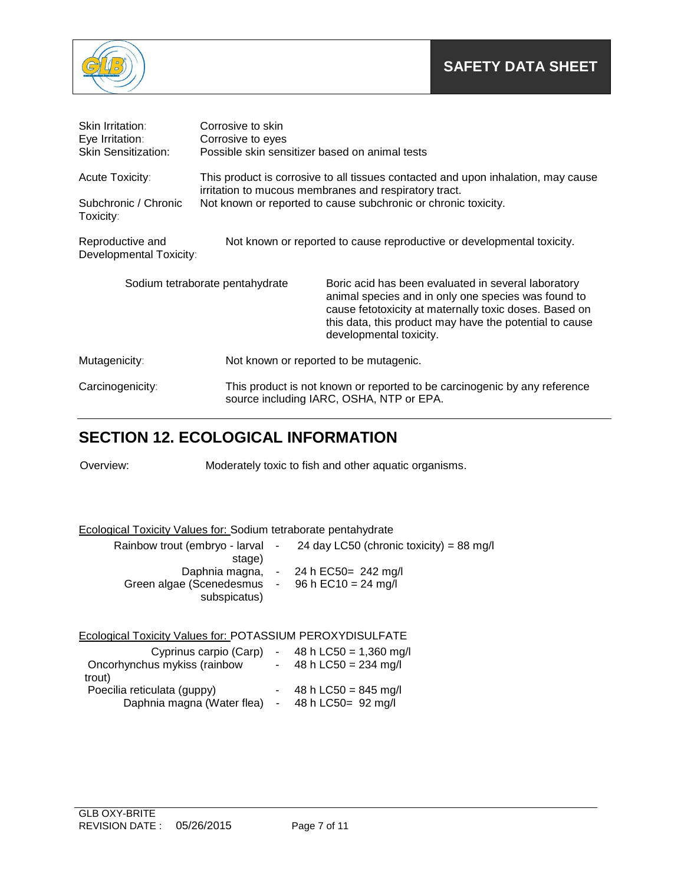

| <b>Skin Irritation:</b><br>Eye Irritation:                                                                            | Corrosive to skin<br>Corrosive to eyes                                                                                                     |                                                                                                                                                                                                                                                            |  |
|-----------------------------------------------------------------------------------------------------------------------|--------------------------------------------------------------------------------------------------------------------------------------------|------------------------------------------------------------------------------------------------------------------------------------------------------------------------------------------------------------------------------------------------------------|--|
| <b>Skin Sensitization:</b>                                                                                            | Possible skin sensitizer based on animal tests                                                                                             |                                                                                                                                                                                                                                                            |  |
| Acute Toxicity:                                                                                                       | This product is corrosive to all tissues contacted and upon inhalation, may cause<br>irritation to mucous membranes and respiratory tract. |                                                                                                                                                                                                                                                            |  |
| Subchronic / Chronic<br>Toxicity:                                                                                     | Not known or reported to cause subchronic or chronic toxicity.                                                                             |                                                                                                                                                                                                                                                            |  |
| Reproductive and<br>Not known or reported to cause reproductive or developmental toxicity.<br>Developmental Toxicity: |                                                                                                                                            |                                                                                                                                                                                                                                                            |  |
| Sodium tetraborate pentahydrate                                                                                       |                                                                                                                                            | Boric acid has been evaluated in several laboratory<br>animal species and in only one species was found to<br>cause fetotoxicity at maternally toxic doses. Based on<br>this data, this product may have the potential to cause<br>developmental toxicity. |  |
| Mutagenicity:                                                                                                         |                                                                                                                                            | Not known or reported to be mutagenic.                                                                                                                                                                                                                     |  |
| Carcinogenicity:                                                                                                      | This product is not known or reported to be carcinogenic by any reference<br>source including IARC, OSHA, NTP or EPA.                      |                                                                                                                                                                                                                                                            |  |

## **SECTION 12. ECOLOGICAL INFORMATION**

Overview: Moderately toxic to fish and other aquatic organisms.

Ecological Toxicity Values for: Sodium tetraborate pentahydrate

| stage)                                                          | Rainbow trout (embryo - larval - $24$ day LC50 (chronic toxicity) = 88 mg/l |
|-----------------------------------------------------------------|-----------------------------------------------------------------------------|
| Green algae (Scenedesmus - 96 h EC10 = 24 mg/l)<br>subspicatus) | Daphnia magna, $-24 h$ EC50= 242 mg/l                                       |

### Ecological Toxicity Values for: POTASSIUM PEROXYDISULFATE

| Cyprinus carpio (Carp)<br>Oncorhynchus mykiss (rainbow<br>trout) |                          | 48 h LC50 = 1,360 mg/l<br>48 h LC50 = $234$ mg/l |
|------------------------------------------------------------------|--------------------------|--------------------------------------------------|
| Poecilia reticulata (guppy)<br>Daphnia magna (Water flea)        | $\overline{\phantom{a}}$ | 48 h LC50 = $845$ mg/l<br>48 h LC50= 92 mg/l     |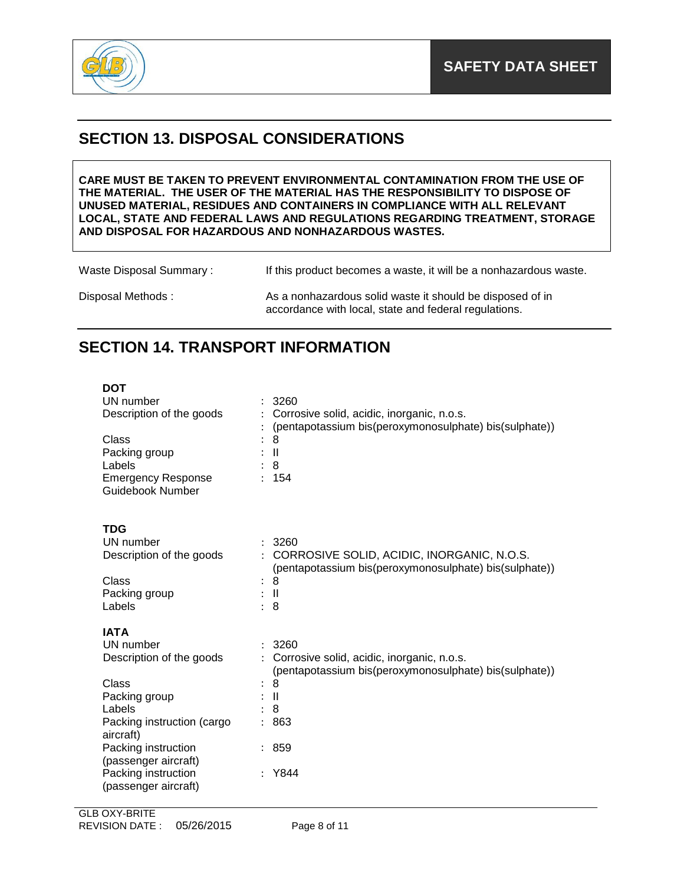

## **SECTION 13. DISPOSAL CONSIDERATIONS**

**CARE MUST BE TAKEN TO PREVENT ENVIRONMENTAL CONTAMINATION FROM THE USE OF THE MATERIAL. THE USER OF THE MATERIAL HAS THE RESPONSIBILITY TO DISPOSE OF UNUSED MATERIAL, RESIDUES AND CONTAINERS IN COMPLIANCE WITH ALL RELEVANT LOCAL, STATE AND FEDERAL LAWS AND REGULATIONS REGARDING TREATMENT, STORAGE AND DISPOSAL FOR HAZARDOUS AND NONHAZARDOUS WASTES.** 

Waste Disposal Summary : If this product becomes a waste, it will be a nonhazardous waste.

Disposal Methods : As a nonhazardous solid waste it should be disposed of in accordance with local, state and federal regulations.

## **SECTION 14. TRANSPORT INFORMATION**

| <b>DOT</b><br>UN number<br>Description of the goods<br>Class<br>Packing group<br>Labels<br><b>Emergency Response</b><br>Guidebook Number                                           | 3260<br>Corrosive solid, acidic, inorganic, n.o.s.<br>(pentapotassium bis(peroxymonosulphate) bis(sulphate))<br>8<br>$\mathbf{I}$<br>8<br>154                         |
|------------------------------------------------------------------------------------------------------------------------------------------------------------------------------------|-----------------------------------------------------------------------------------------------------------------------------------------------------------------------|
| <b>TDG</b><br>UN number<br>Description of the goods<br>Class<br>Packing group<br>Labels                                                                                            | : 3260<br>: CORROSIVE SOLID, ACIDIC, INORGANIC, N.O.S.<br>(pentapotassium bis(peroxymonosulphate) bis(sulphate))<br>8<br>$\therefore$ $\parallel$<br>8                |
| <b>IATA</b><br>UN number<br>Description of the goods<br>Class<br>Packing group<br>Labels<br>Packing instruction (cargo<br>aircraft)<br>Packing instruction<br>(passenger aircraft) | 3260<br>Corrosive solid, acidic, inorganic, n.o.s.<br>$\mathcal{L}$<br>(pentapotassium bis(peroxymonosulphate) bis(sulphate))<br>8<br>$\mathbf{I}$<br>8<br>863<br>859 |
| Packing instruction<br>(passenger aircraft)                                                                                                                                        | Y844                                                                                                                                                                  |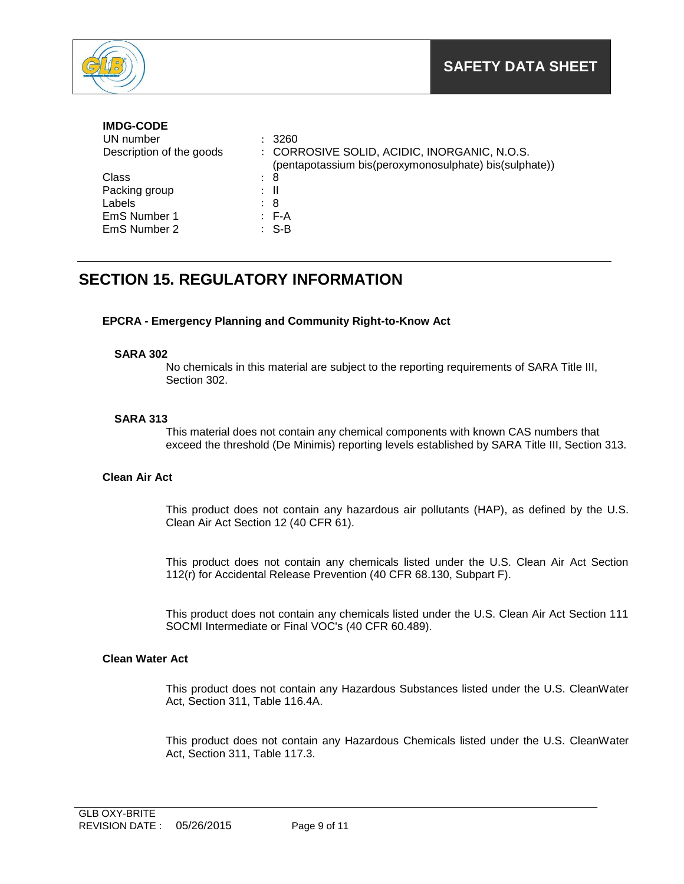

### **IMDG-CODE**

| UN number                | : 3260                                                                                                 |
|--------------------------|--------------------------------------------------------------------------------------------------------|
| Description of the goods | : CORROSIVE SOLID, ACIDIC, INORGANIC, N.O.S.<br>(pentapotassium bis(peroxymonosulphate) bis(sulphate)) |
| Class                    | : 8                                                                                                    |
| Packing group            | $\pm$ 11                                                                                               |
| Labels                   | : 8                                                                                                    |
| EmS Number 1             | $E - A$                                                                                                |
| EmS Number 2             | $\therefore$ S-B                                                                                       |

## **SECTION 15. REGULATORY INFORMATION**

### **EPCRA - Emergency Planning and Community Right-to-Know Act**

### **SARA 302**

No chemicals in this material are subject to the reporting requirements of SARA Title III, Section 302.

### **SARA 313**

This material does not contain any chemical components with known CAS numbers that exceed the threshold (De Minimis) reporting levels established by SARA Title III, Section 313.

### **Clean Air Act**

This product does not contain any hazardous air pollutants (HAP), as defined by the U.S. Clean Air Act Section 12 (40 CFR 61).

This product does not contain any chemicals listed under the U.S. Clean Air Act Section 112(r) for Accidental Release Prevention (40 CFR 68.130, Subpart F).

This product does not contain any chemicals listed under the U.S. Clean Air Act Section 111 SOCMI Intermediate or Final VOC's (40 CFR 60.489).

### **Clean Water Act**

This product does not contain any Hazardous Substances listed under the U.S. CleanWater Act, Section 311, Table 116.4A.

This product does not contain any Hazardous Chemicals listed under the U.S. CleanWater Act, Section 311, Table 117.3.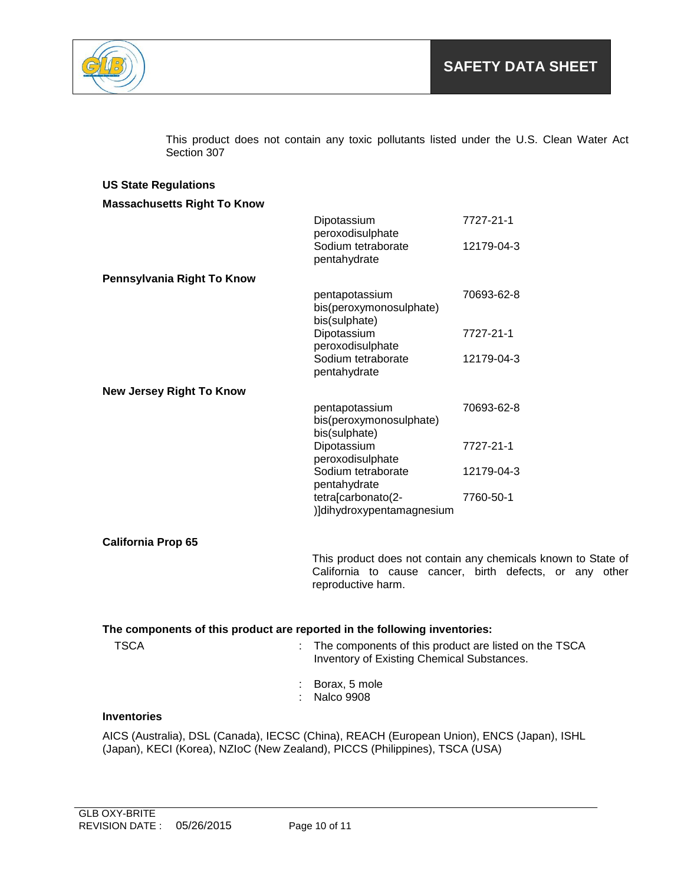

This product does not contain any toxic pollutants listed under the U.S. Clean Water Act Section 307

| <b>US State Regulations</b>                                                               |                                                       |                                                               |  |
|-------------------------------------------------------------------------------------------|-------------------------------------------------------|---------------------------------------------------------------|--|
| <b>Massachusetts Right To Know</b>                                                        |                                                       |                                                               |  |
|                                                                                           | Dipotassium                                           | 7727-21-1                                                     |  |
|                                                                                           | peroxodisulphate<br>Sodium tetraborate                | 12179-04-3                                                    |  |
|                                                                                           | pentahydrate                                          |                                                               |  |
| Pennsylvania Right To Know                                                                |                                                       |                                                               |  |
|                                                                                           | pentapotassium                                        | 70693-62-8                                                    |  |
|                                                                                           | bis(peroxymonosulphate)                               |                                                               |  |
|                                                                                           | bis(sulphate)<br>Dipotassium                          | 7727-21-1                                                     |  |
|                                                                                           | peroxodisulphate                                      |                                                               |  |
|                                                                                           | Sodium tetraborate                                    | 12179-04-3                                                    |  |
|                                                                                           | pentahydrate                                          |                                                               |  |
| <b>New Jersey Right To Know</b>                                                           |                                                       |                                                               |  |
|                                                                                           | pentapotassium<br>bis(peroxymonosulphate)             | 70693-62-8                                                    |  |
|                                                                                           | bis(sulphate)                                         |                                                               |  |
|                                                                                           | Dipotassium<br>peroxodisulphate                       | 7727-21-1                                                     |  |
|                                                                                           | Sodium tetraborate                                    | 12179-04-3                                                    |  |
|                                                                                           | pentahydrate                                          |                                                               |  |
|                                                                                           | tetra[carbonato(2-<br>)]dihydroxypentamagnesium       | 7760-50-1                                                     |  |
|                                                                                           |                                                       |                                                               |  |
| <b>California Prop 65</b>                                                                 |                                                       |                                                               |  |
|                                                                                           |                                                       | This product does not contain any chemicals known to State of |  |
|                                                                                           |                                                       | California to cause cancer, birth defects, or any other       |  |
|                                                                                           | reproductive harm.                                    |                                                               |  |
|                                                                                           |                                                       |                                                               |  |
| The components of this product are reported in the following inventories:                 |                                                       |                                                               |  |
| <b>TSCA</b>                                                                               | The components of this product are listed on the TSCA |                                                               |  |
|                                                                                           | Inventory of Existing Chemical Substances.            |                                                               |  |
|                                                                                           | Borax, 5 mole                                         |                                                               |  |
|                                                                                           | <b>Nalco 9908</b>                                     |                                                               |  |
| <b>Inventories</b>                                                                        |                                                       |                                                               |  |
| AICS (Australia), DSL (Canada), IECSC (China), REACH (European Union), ENCS (Japan), ISHL |                                                       |                                                               |  |
| (Japan), KECI (Korea), NZIoC (New Zealand), PICCS (Philippines), TSCA (USA)               |                                                       |                                                               |  |